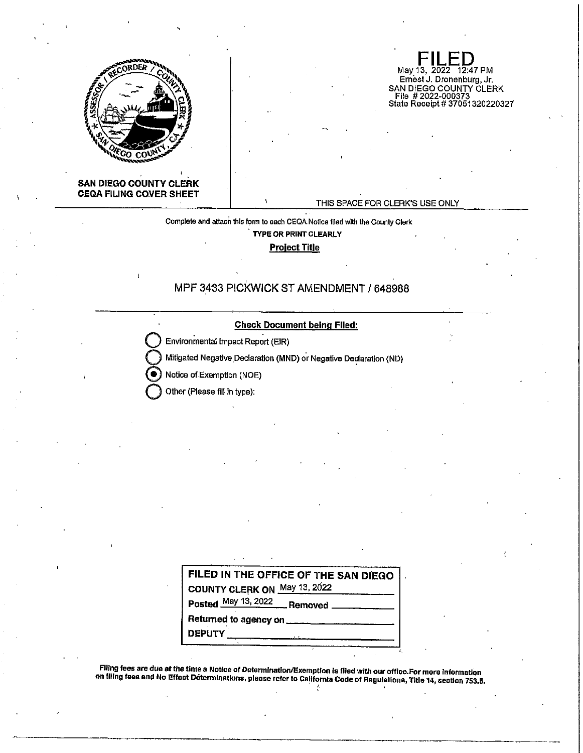

**SAN DIEGO COUNTY CLERK CEQA FILING COVER SHEET** 

### THIS SPACE FOR CLERK'S USE ONLY

 $\mathsf{FILED}_{\mathsf{May 13, 2022-12:47 PM}}$ May 13, 2022 12:47 PM Ernest J. Dronenburg, Jr.

SAN DIEGO COUNTY CLERK File # 2022-000373 Stale Receipt# 37051320220327

Complete and attach this form to each CEQA.Notice filed with the County Clerk **TYPE OR PRINT CLEARLY** 

**Project Title** 

# MPF 3433 PICKWICK ST AMENDMENT/ 648988

**Check Document being Flied:** 

**Environmental Impact Report (EIR)** 

Mitigated Negative Declaration (MND) or Negative Declaration (ND)

Notice of Exemption (NOE)

**Other (Please fill in type):** 

| FILED IN THE OFFICE OF THE SAN DIEGO                                                                                                                                                                                                 |
|--------------------------------------------------------------------------------------------------------------------------------------------------------------------------------------------------------------------------------------|
| COUNTY CLERK ON May 13, 2022                                                                                                                                                                                                         |
| Posted May 13, 2022 Removed                                                                                                                                                                                                          |
| Returned to agency on <b>contain the set of the set of the set of the set of the set of the set of the set of the set of the set of the set of the set of the set of the set of the set of the set of the set of the set of the </b> |
|                                                                                                                                                                                                                                      |

FJHng fees are due at the time a Notice· of Determination/Exemption is filed with our office.For more Information on flllng fees and No Effect D8termlnatlons, please refer to Ce!lfornia Code of Regulations, Title 14, section 753.5. , '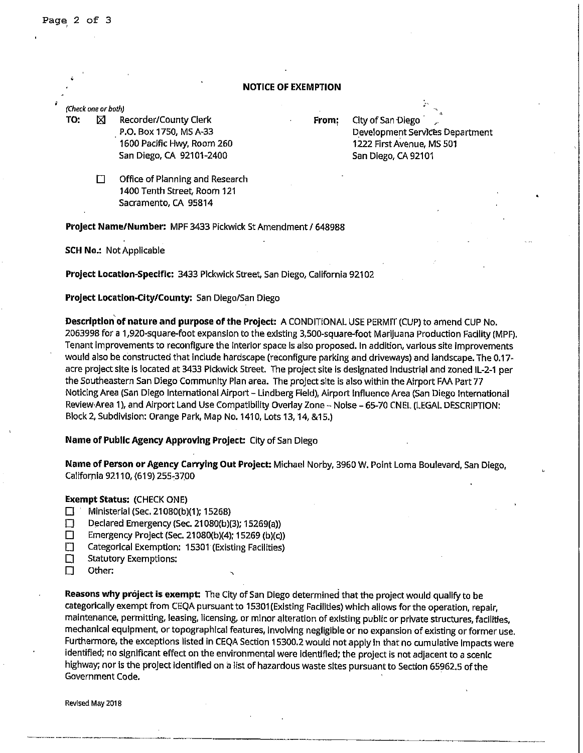## **NOTICE OF EXEMPTION**

### (Check one or both)

**TO:**  $\boxtimes$  Recorder/County Clerk P.O. Box 1750, MS A-33 1600 Pacific Hwy, Room 260 San Diego, CA 92101-2400

**From:** City of San Diego Development Services Department 1222 First Avenue, MS 501 San Diego, CA 92101

□ Office of Planning and Research 1400 Tenth Street, Room 121 Sacramento, CA 95814

**Project Name/Number:** MPF 3433 Pickwick St Amendment/ 648988

**SCH No.:** Not Applicable

**Project Location-Specific:** 3433 Pickwick Street, San Diego, California 92102

**Project Location-City/County:** San Diego/San Diego

**Descriptlon°ofnature and purpose of the Project:** A CONDITIONAL USE PERMIT (CUP)to amend CUP No. 2063998 for a 1,920-square-foot expansion to the existing 3,500-square-foot Marijuana Production Facility (MPF). Tenant improvements to reconfigure the interior space Is also proposed. In addition, various site improvements would also be constructed that include hardscape (reconfigure parking and driveways) and landscape. The 0.17 acre project site is located at 3433 Pickwick Street. The project site Is designated Industrial and zoned IL-2-1 per the Southeastern San Diego Community Plan area. The project site is also within the Airport FAA Part 77 Noticing Area (San Diego International Airport - Lindberg Field), Airport Influence Area (San Diego International Revlew,Area 1), and Airport Land Use Compatibility Overlay Zone - Noise - 65-70 CNEL (LEGAL DESCRIPTION: Block 2, Subdivision: Orange Park, Map No.1410, Lots 13, 14, &15.)

**Name of Public Agency Approving Project:** City of San Diego

**Name of Person or Agency Carrying Out Project:** Michael Norby, 3960 W. Point Loma Boulevard, San Diego, California 92110, (619) 255-37.00

**Exempt Status:** (CHECK ONE)

- D Ministerial (Sec. 21080(b)(1); 15268)
- Declared Emergency (Sec. 21080(b)(3); 15269(a))
- D Emergency Project (Sec. 21080(b)(4); 15269 (b)(c))
- D Categorical Exemption: 15301 (Existing Facilities)
- $\square$  Statutory Exemptions:
- D Other:

**Reasons why project is exempt:** The City of San Diego determined that the project would qualify to be categorically exempt from CEQA pursuant to 15301 (Existing Facilities) which allows for the operation, repair, maintenance, permitting, leasing, licensing, or minor alteration of existing public or private structures, facilities, mechanical equipment, or topographical features, Involving negligible or no expansion of existing or former use. Furthermore, the exceptions listed in CEQA Section 15300.2 would not apply In that no cumulative Impacts were identified; no significant effect on the environmental were identified; the project is not adjacent to a scenic highway; nor is the project Identified on a list of hazardous waste sites pursuant to Section 65962.5 of the Government Code.

Revised May 2018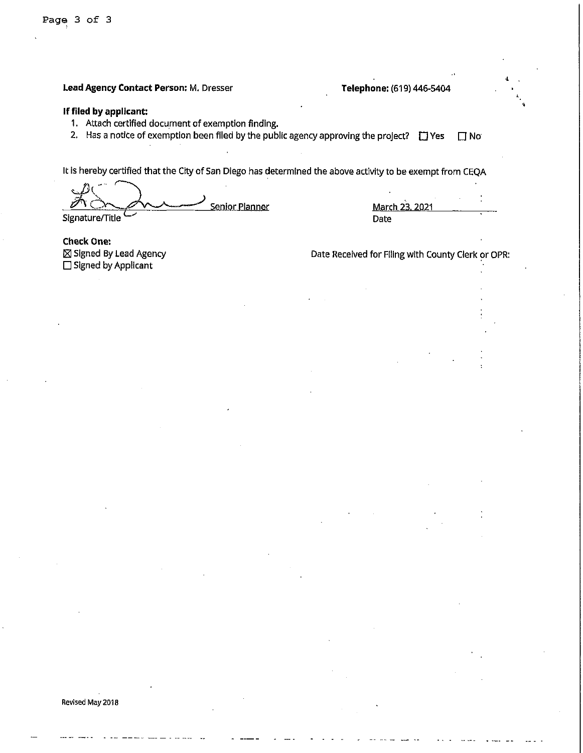'

**Lead Agency Contact Person:** M. Dresser **Telephone:** (619) 446•5404

## **If filed by applicant:**

- 1. Attach certified document of exemption finding.
- 2. Has a notice of exemption been filed by the public agency approving the project?  $\Box$  Yes  $\Box$  No

It Is hereby certified that the City of San Diego has determined the above activity to be exempt from CEQA

 $\sum_{n=1}^{\infty} \sum_{n=1}^{n}$ Signature/Title Senior Planner March 23. 2021

Date

**Check One:**  /81 Signed By Lead Agency  $\square$  Signed by Applicant

Date Received for FIiing with County Clerk or OPR: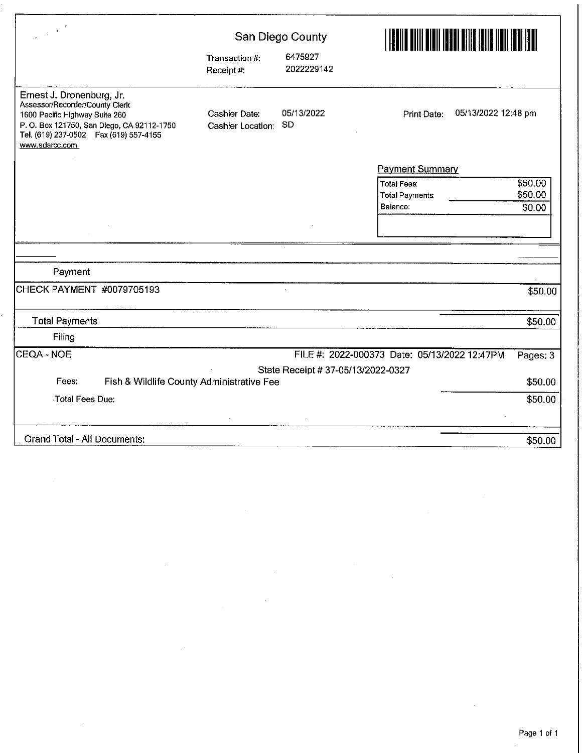| $\mathbf{r}$                                                                                                                                                                                            | San Diego County                          |                                    |                                                                                         |  |  |
|---------------------------------------------------------------------------------------------------------------------------------------------------------------------------------------------------------|-------------------------------------------|------------------------------------|-----------------------------------------------------------------------------------------|--|--|
|                                                                                                                                                                                                         | Transaction #:<br>Receipt #:              | 6475927<br>2022229142              |                                                                                         |  |  |
| Ernest J. Dronenburg, Jr.<br>Assessor/Recorder/County Clerk<br>1600 Pacific Highway Suite 260<br>P.O. Box 121750, San Diego, CA 92112-1750<br>Tel. (619) 237-0502  Fax (619) 557-4155<br>www.sdarcc.com | <b>Cashier Date:</b><br>Cashier Location: | 05/13/2022<br><b>SD</b>            | 05/13/2022 12:48 pm<br>Print Date:                                                      |  |  |
|                                                                                                                                                                                                         |                                           |                                    | <b>Payment Summary</b>                                                                  |  |  |
|                                                                                                                                                                                                         |                                           |                                    | \$50.00<br><b>Total Fees:</b><br>\$50.00<br><b>Total Payments</b><br>Balance:<br>\$0.00 |  |  |
|                                                                                                                                                                                                         |                                           |                                    |                                                                                         |  |  |
|                                                                                                                                                                                                         |                                           |                                    |                                                                                         |  |  |
| Payment                                                                                                                                                                                                 |                                           |                                    |                                                                                         |  |  |
| CHECK PAYMENT #0079705193                                                                                                                                                                               |                                           |                                    | \$50.00                                                                                 |  |  |
| <b>Total Payments</b>                                                                                                                                                                                   |                                           |                                    | \$50.00                                                                                 |  |  |
| Filing                                                                                                                                                                                                  |                                           |                                    |                                                                                         |  |  |
| CEQA - NOE                                                                                                                                                                                              |                                           |                                    | FILE #: 2022-000373 Date: 05/13/2022 12:47PM<br>Pages: 3                                |  |  |
|                                                                                                                                                                                                         |                                           | State Receipt # 37-05/13/2022-0327 |                                                                                         |  |  |
| Fees:<br>Fish & Wildlife County Administrative Fee                                                                                                                                                      |                                           |                                    | \$50.00                                                                                 |  |  |
| Total Fees Due:                                                                                                                                                                                         |                                           |                                    | \$50.00                                                                                 |  |  |
|                                                                                                                                                                                                         |                                           |                                    |                                                                                         |  |  |
| Grand Total - All Documents:                                                                                                                                                                            |                                           |                                    | \$50.00                                                                                 |  |  |

 $\bar{\beta}$ 

 $\frac{1}{2}$ 

 $\sim$ 

 $\sim$ 

 $\sim$ 

 $\hat{\mathcal{A}}$ 

 $\hat{\boldsymbol{\gamma}}$